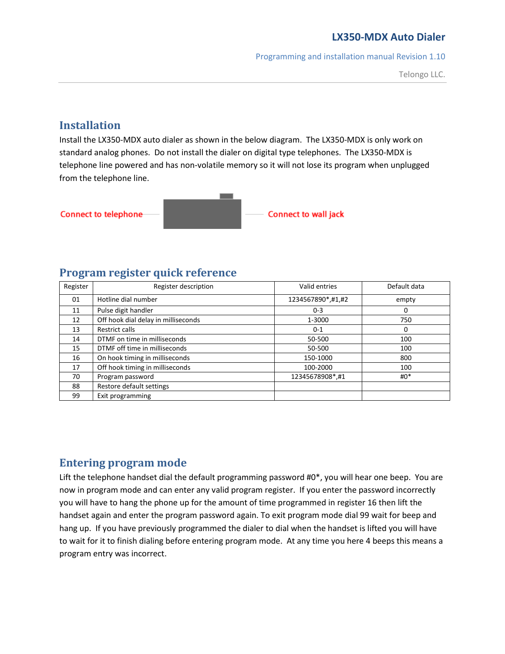Programming and installation manual Revision 1.10

Telongo LLC.

# **Installation**

Install the LX350-MDX auto dialer as shown in the below diagram. The LX350-MDX is only work on standard analog phones. Do not install the dialer on digital type telephones. The LX350-MDX is telephone line powered and has non-volatile memory so it will not lose its program when unplugged from the telephone line.



#### **Program register quick reference**

| Register | Register description                | Valid entries     | Default data |
|----------|-------------------------------------|-------------------|--------------|
| 01       | Hotline dial number                 | 1234567890*,#1,#2 | empty        |
| 11       | Pulse digit handler                 | $0 - 3$           | 0            |
| 12       | Off hook dial delay in milliseconds | 1-3000            | 750          |
| 13       | <b>Restrict calls</b>               | $0 - 1$           | 0            |
| 14       | DTMF on time in milliseconds        | 50-500            | 100          |
| 15       | DTMF off time in milliseconds       | 50-500            | 100          |
| 16       | On hook timing in milliseconds      | 150-1000          | 800          |
| 17       | Off hook timing in milliseconds     | 100-2000          | 100          |
| 70       | Program password                    | 12345678908*,#1   | $#0^*$       |
| 88       | Restore default settings            |                   |              |
| 99       | Exit programming                    |                   |              |

# **Entering program mode**

Lift the telephone handset dial the default programming password #0\*, you will hear one beep. You are now in program mode and can enter any valid program register. If you enter the password incorrectly you will have to hang the phone up for the amount of time programmed in register 16 then lift the handset again and enter the program password again. To exit program mode dial 99 wait for beep and hang up. If you have previously programmed the dialer to dial when the handset is lifted you will have to wait for it to finish dialing before entering program mode. At any time you here 4 beeps this means a program entry was incorrect.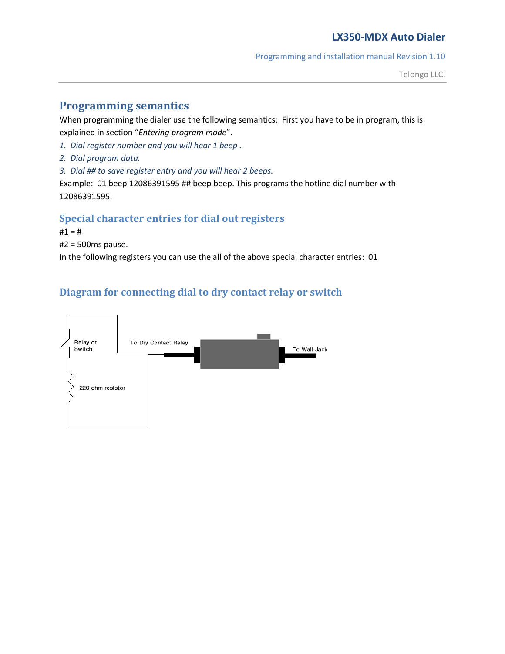Programming and installation manual Revision 1.10

## **Programming semantics**

When programming the dialer use the following semantics: First you have to be in program, this is explained in section "*Entering program mode*".

- *1. Dial register number and you will hear 1 beep .*
- *2. Dial program data.*
- *3. Dial ## to save register entry and you will hear 2 beeps.*

Example: 01 beep 12086391595 ## beep beep. This programs the hotline dial number with 12086391595.

#### **Special character entries for dial out registers**

 $#1 = #$ 

#2 = 500ms pause.

In the following registers you can use the all of the above special character entries: 01

# **Diagram for connecting dial to dry contact relay or switch**

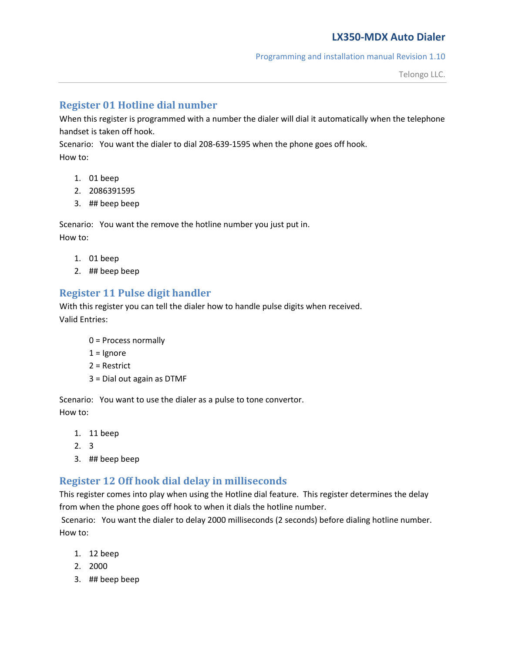#### Programming and installation manual Revision 1.10

#### **Register 01 Hotline dial number**

When this register is programmed with a number the dialer will dial it automatically when the telephone handset is taken off hook.

Scenario: You want the dialer to dial 208-639-1595 when the phone goes off hook. How to:

- 1. 01 beep
- 2. 2086391595
- 3. ## beep beep

Scenario: You want the remove the hotline number you just put in. How to:

- 1. 01 beep
- 2. ## beep beep

# **Register 11 Pulse digit handler**

With this register you can tell the dialer how to handle pulse digits when received. Valid Entries:

- 0 = Process normally
- $1 =$  Ignore
- 2 = Restrict
- 3 = Dial out again as DTMF

Scenario: You want to use the dialer as a pulse to tone convertor. How to:

- 1. 11 beep
- 2. 3
- 3. ## beep beep

# **Register 12 Off hook dial delay in milliseconds**

This register comes into play when using the Hotline dial feature. This register determines the delay from when the phone goes off hook to when it dials the hotline number.

Scenario: You want the dialer to delay 2000 milliseconds (2 seconds) before dialing hotline number. How to:

- 1. 12 beep
- 2. 2000
- 3. ## beep beep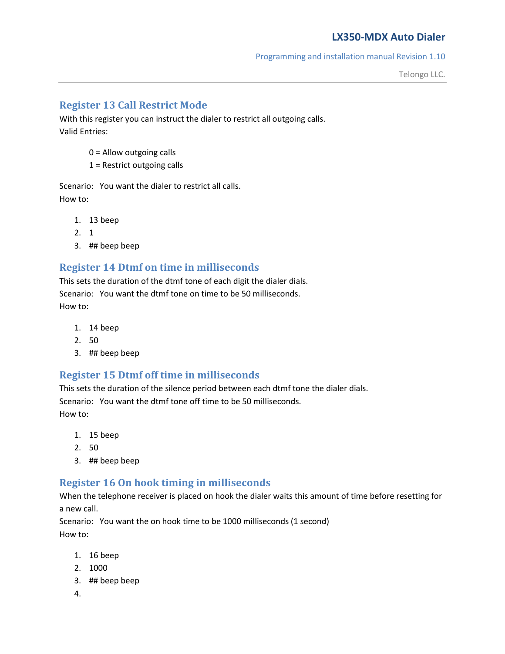Telongo LLC.

## **Register 13 Call Restrict Mode**

With this register you can instruct the dialer to restrict all outgoing calls. Valid Entries:

- 0 = Allow outgoing calls
- 1 = Restrict outgoing calls

Scenario: You want the dialer to restrict all calls. How to:

- 1. 13 beep
- 2. 1
- 3. ## beep beep

## **Register 14 Dtmf on time in milliseconds**

This sets the duration of the dtmf tone of each digit the dialer dials. Scenario: You want the dtmf tone on time to be 50 milliseconds. How to:

- 1. 14 beep
- 2. 50
- 3. ## beep beep

#### **Register 15 Dtmf off time in milliseconds**

This sets the duration of the silence period between each dtmf tone the dialer dials. Scenario: You want the dtmf tone off time to be 50 milliseconds. How to:

- 1. 15 beep
- 2. 50
- 3. ## beep beep

#### **Register 16 On hook timing in milliseconds**

When the telephone receiver is placed on hook the dialer waits this amount of time before resetting for a new call.

Scenario: You want the on hook time to be 1000 milliseconds (1 second) How to:

- 1. 16 beep
- 2. 1000
- 3. ## beep beep
- 4.